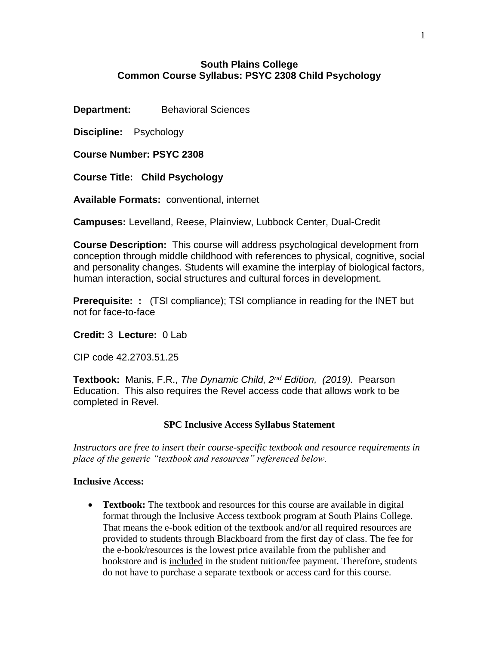#### **South Plains College Common Course Syllabus: PSYC 2308 Child Psychology**

**Department:** Behavioral Sciences

**Discipline:** Psychology

**Course Number: PSYC 2308**

**Course Title: Child Psychology** 

**Available Formats:** conventional, internet

**Campuses:** Levelland, Reese, Plainview, Lubbock Center, Dual-Credit

**Course Description:** This course will address psychological development from conception through middle childhood with references to physical, cognitive, social and personality changes. Students will examine the interplay of biological factors, human interaction, social structures and cultural forces in development.

**Prerequisite: :** (TSI compliance); TSI compliance in reading for the INET but not for face-to-face

#### **Credit:** 3 **Lecture:** 0 Lab

CIP code 42.2703.51.25

**Textbook:** Manis, F.R., *The Dynamic Child, 2nd Edition, (2019).* Pearson Education. This also requires the Revel access code that allows work to be completed in Revel.

#### **SPC Inclusive Access Syllabus Statement**

*Instructors are free to insert their course-specific textbook and resource requirements in place of the generic "textbook and resources" referenced below.*

#### **Inclusive Access:**

• **Textbook:** The textbook and resources for this course are available in digital format through the Inclusive Access textbook program at South Plains College. That means the e-book edition of the textbook and/or all required resources are provided to students through Blackboard from the first day of class. The fee for the e-book/resources is the lowest price available from the publisher and bookstore and is included in the student tuition/fee payment. Therefore, students do not have to purchase a separate textbook or access card for this course.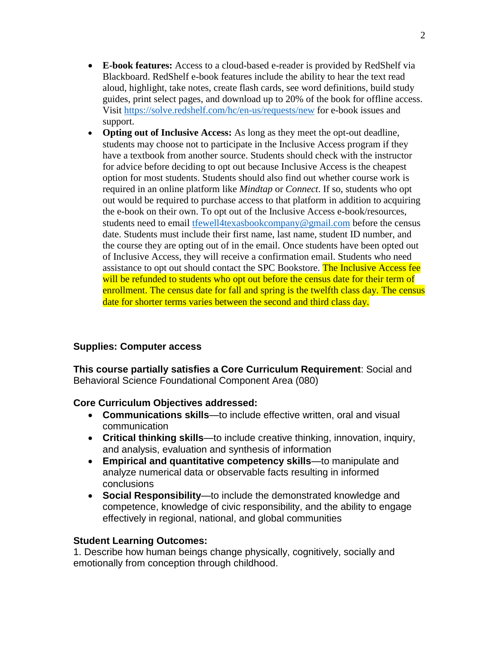- **E-book features:** Access to a cloud-based e-reader is provided by RedShelf via Blackboard. RedShelf e-book features include the ability to hear the text read aloud, highlight, take notes, create flash cards, see word definitions, build study guides, print select pages, and download up to 20% of the book for offline access. Visit<https://solve.redshelf.com/hc/en-us/requests/new> for e-book issues and support.
- **Opting out of Inclusive Access:** As long as they meet the opt-out deadline, students may choose not to participate in the Inclusive Access program if they have a textbook from another source. Students should check with the instructor for advice before deciding to opt out because Inclusive Access is the cheapest option for most students. Students should also find out whether course work is required in an online platform like *Mindtap* or *Connect*. If so, students who opt out would be required to purchase access to that platform in addition to acquiring the e-book on their own. To opt out of the Inclusive Access e-book/resources, students need to email [tfewell4texasbookcompany@gmail.com](mailto:tfewell4texasbookcompany@gmail.com) before the census date. Students must include their first name, last name, student ID number, and the course they are opting out of in the email. Once students have been opted out of Inclusive Access, they will receive a confirmation email. Students who need assistance to opt out should contact the SPC Bookstore. The Inclusive Access fee will be refunded to students who opt out before the census date for their term of enrollment. The census date for fall and spring is the twelfth class day. The census date for shorter terms varies between the second and third class day.

## **Supplies: Computer access**

**This course partially satisfies a Core Curriculum Requirement**: Social and Behavioral Science Foundational Component Area (080)

### **Core Curriculum Objectives addressed:**

- **Communications skills**—to include effective written, oral and visual communication
- **Critical thinking skills**—to include creative thinking, innovation, inquiry, and analysis, evaluation and synthesis of information
- **Empirical and quantitative competency skills**—to manipulate and analyze numerical data or observable facts resulting in informed conclusions
- **Social Responsibility**—to include the demonstrated knowledge and competence, knowledge of civic responsibility, and the ability to engage effectively in regional, national, and global communities

#### **Student Learning Outcomes:**

1. Describe how human beings change physically, cognitively, socially and emotionally from conception through childhood.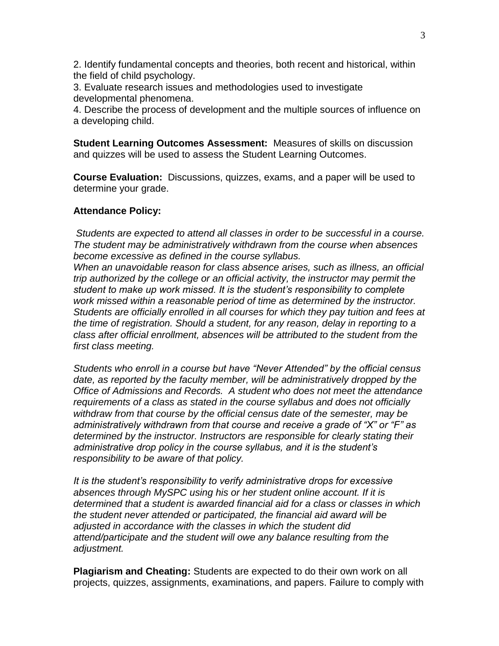2. Identify fundamental concepts and theories, both recent and historical, within the field of child psychology.

3. Evaluate research issues and methodologies used to investigate developmental phenomena.

4. Describe the process of development and the multiple sources of influence on a developing child.

**Student Learning Outcomes Assessment:** Measures of skills on discussion and quizzes will be used to assess the Student Learning Outcomes.

**Course Evaluation:** Discussions, quizzes, exams, and a paper will be used to determine your grade.

### **Attendance Policy:**

*Students are expected to attend all classes in order to be successful in a course. The student may be administratively withdrawn from the course when absences become excessive as defined in the course syllabus.*

*When an unavoidable reason for class absence arises, such as illness, an official trip authorized by the college or an official activity, the instructor may permit the student to make up work missed. It is the student's responsibility to complete work missed within a reasonable period of time as determined by the instructor. Students are officially enrolled in all courses for which they pay tuition and fees at the time of registration. Should a student, for any reason, delay in reporting to a class after official enrollment, absences will be attributed to the student from the first class meeting.*

*Students who enroll in a course but have "Never Attended" by the official census date, as reported by the faculty member, will be administratively dropped by the Office of Admissions and Records. A student who does not meet the attendance requirements of a class as stated in the course syllabus and does not officially withdraw from that course by the official census date of the semester, may be administratively withdrawn from that course and receive a grade of "X" or "F" as determined by the instructor. Instructors are responsible for clearly stating their administrative drop policy in the course syllabus, and it is the student's responsibility to be aware of that policy.* 

*It is the student's responsibility to verify administrative drops for excessive absences through MySPC using his or her student online account. If it is determined that a student is awarded financial aid for a class or classes in which the student never attended or participated, the financial aid award will be adjusted in accordance with the classes in which the student did attend/participate and the student will owe any balance resulting from the adjustment.*

**Plagiarism and Cheating:** Students are expected to do their own work on all projects, quizzes, assignments, examinations, and papers. Failure to comply with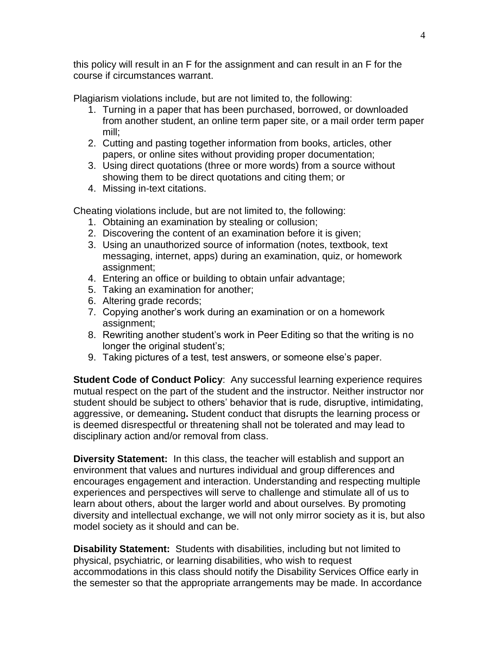this policy will result in an F for the assignment and can result in an F for the course if circumstances warrant.

Plagiarism violations include, but are not limited to, the following:

- 1. Turning in a paper that has been purchased, borrowed, or downloaded from another student, an online term paper site, or a mail order term paper mill;
- 2. Cutting and pasting together information from books, articles, other papers, or online sites without providing proper documentation;
- 3. Using direct quotations (three or more words) from a source without showing them to be direct quotations and citing them; or
- 4. Missing in-text citations.

Cheating violations include, but are not limited to, the following:

- 1. Obtaining an examination by stealing or collusion;
- 2. Discovering the content of an examination before it is given;
- 3. Using an unauthorized source of information (notes, textbook, text messaging, internet, apps) during an examination, quiz, or homework assignment;
- 4. Entering an office or building to obtain unfair advantage;
- 5. Taking an examination for another;
- 6. Altering grade records;
- 7. Copying another's work during an examination or on a homework assignment;
- 8. Rewriting another student's work in Peer Editing so that the writing is no longer the original student's;
- 9. Taking pictures of a test, test answers, or someone else's paper.

**Student Code of Conduct Policy:** Any successful learning experience requires mutual respect on the part of the student and the instructor. Neither instructor nor student should be subject to others' behavior that is rude, disruptive, intimidating, aggressive, or demeaning**.** Student conduct that disrupts the learning process or is deemed disrespectful or threatening shall not be tolerated and may lead to disciplinary action and/or removal from class.

**Diversity Statement:** In this class, the teacher will establish and support an environment that values and nurtures individual and group differences and encourages engagement and interaction. Understanding and respecting multiple experiences and perspectives will serve to challenge and stimulate all of us to learn about others, about the larger world and about ourselves. By promoting diversity and intellectual exchange, we will not only mirror society as it is, but also model society as it should and can be.

**Disability Statement:** Students with disabilities, including but not limited to physical, psychiatric, or learning disabilities, who wish to request accommodations in this class should notify the Disability Services Office early in the semester so that the appropriate arrangements may be made. In accordance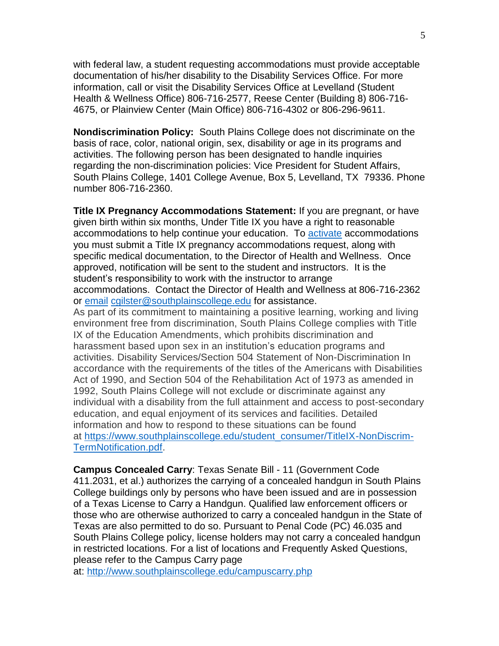with federal law, a student requesting accommodations must provide acceptable documentation of his/her disability to the Disability Services Office. For more information, call or visit the Disability Services Office at Levelland (Student Health & Wellness Office) 806-716-2577, Reese Center (Building 8) 806-716- 4675, or Plainview Center (Main Office) 806-716-4302 or 806-296-9611.

**Nondiscrimination Policy:** South Plains College does not discriminate on the basis of race, color, national origin, sex, disability or age in its programs and activities. The following person has been designated to handle inquiries regarding the non-discrimination policies: Vice President for Student Affairs, South Plains College, 1401 College Avenue, Box 5, Levelland, TX 79336. Phone number 806-716-2360.

**Title IX Pregnancy Accommodations Statement:** If you are pregnant, or have given birth within six months, Under Title IX you have a right to reasonable accommodations to help continue your education. To [activate](http://www.southplainscollege.edu/employees/manualshandbooks/facultyhandbook/sec4.php) accommodations you must submit a Title IX pregnancy accommodations request, along with specific medical documentation, to the Director of Health and Wellness. Once approved, notification will be sent to the student and instructors. It is the student's responsibility to work with the instructor to arrange accommodations. Contact the Director of Health and Wellness at 806-716-2362 or [email](http://www.southplainscollege.edu/employees/manualshandbooks/facultyhandbook/sec4.php) [cgilster@southplainscollege.edu](mailto:cgilster@southplainscollege.edu) for assistance.

As part of its commitment to maintaining a positive learning, working and living environment free from discrimination, South Plains College complies with Title IX of the Education Amendments, which prohibits discrimination and harassment based upon sex in an institution's education programs and activities. Disability Services/Section 504 Statement of Non-Discrimination In accordance with the requirements of the titles of the Americans with Disabilities Act of 1990, and Section 504 of the Rehabilitation Act of 1973 as amended in 1992, South Plains College will not exclude or discriminate against any individual with a disability from the full attainment and access to post-secondary education, and equal enjoyment of its services and facilities. Detailed information and how to respond to these situations can be found at [https://www.southplainscollege.edu/student\\_consumer/TitleIX-NonDiscrim-](https://www.southplainscollege.edu/student_consumer/TitleIX-NonDiscrim-TermNotification.pdf)[TermNotification.pdf.](https://www.southplainscollege.edu/student_consumer/TitleIX-NonDiscrim-TermNotification.pdf)

**Campus Concealed Carry**: Texas Senate Bill - 11 (Government Code 411.2031, et al.) authorizes the carrying of a concealed handgun in South Plains College buildings only by persons who have been issued and are in possession of a Texas License to Carry a Handgun. Qualified law enforcement officers or those who are otherwise authorized to carry a concealed handgun in the State of Texas are also permitted to do so. Pursuant to Penal Code (PC) 46.035 and South Plains College policy, license holders may not carry a concealed handgun in restricted locations. For a list of locations and Frequently Asked Questions, please refer to the Campus Carry page

at: <http://www.southplainscollege.edu/campuscarry.php>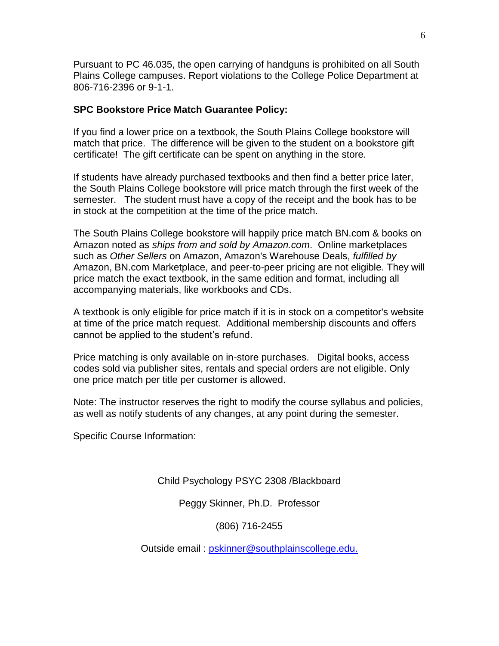Pursuant to PC 46.035, the open carrying of handguns is prohibited on all South Plains College campuses. Report violations to the College Police Department at 806-716-2396 or 9-1-1.

#### **SPC Bookstore Price Match Guarantee Policy:**

If you find a lower price on a textbook, the South Plains College bookstore will match that price. The difference will be given to the student on a bookstore gift certificate! The gift certificate can be spent on anything in the store.

If students have already purchased textbooks and then find a better price later, the South Plains College bookstore will price match through the first week of the semester. The student must have a copy of the receipt and the book has to be in stock at the competition at the time of the price match.

The South Plains College bookstore will happily price match BN.com & books on Amazon noted as *ships from and sold by Amazon.com*. Online marketplaces such as *Other Sellers* on Amazon, Amazon's Warehouse Deals, *fulfilled by* Amazon, BN.com Marketplace, and peer-to-peer pricing are not eligible. They will price match the exact textbook, in the same edition and format, including all accompanying materials, like workbooks and CDs.

A textbook is only eligible for price match if it is in stock on a competitor's website at time of the price match request. Additional membership discounts and offers cannot be applied to the student's refund.

Price matching is only available on in-store purchases. Digital books, access codes sold via publisher sites, rentals and special orders are not eligible. Only one price match per title per customer is allowed.

Note: The instructor reserves the right to modify the course syllabus and policies, as well as notify students of any changes, at any point during the semester.

Specific Course Information:

Child Psychology PSYC 2308 /Blackboard

Peggy Skinner, Ph.D. Professor

(806) 716-2455

Outside email : pskinner@southplainscollege.edu.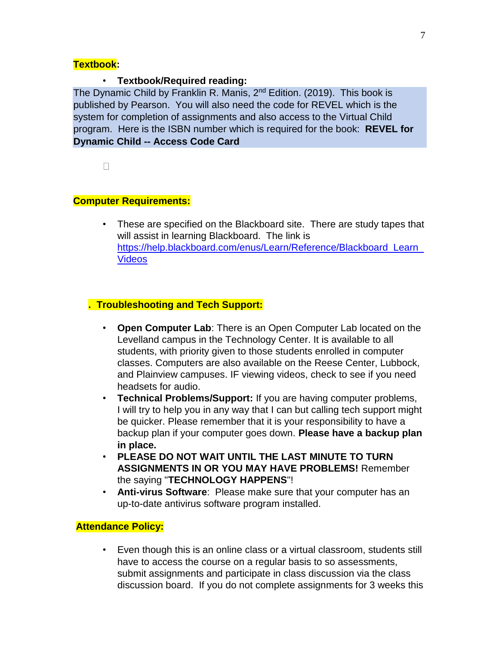#### **Textbook:**

#### • **Textbook/Required reading:**

The Dynamic Child by Franklin R. Manis, 2<sup>nd</sup> Edition. (2019). This book is published by Pearson. You will also need the code for REVEL which is the system for completion of assignments and also access to the Virtual Child program. Here is the ISBN number which is required for the book: **REVEL for Dynamic Child -- Access Code Card**

 $\Box$ 

### **Computer Requirements:**

• These are specified on the Blackboard site. There are study tapes that will assist in learning Blackboard. The link is https://help.blackboard.com/enus/Learn/Reference/Blackboard Learn [Videos](https://help.blackboard.com/en-us/Learn/Reference/Blackboard_Learn_Videos)

## **. Troubleshooting and Tech Support:**

- **Open Computer Lab**: There is an Open Computer Lab located on the Levelland campus in the Technology Center. It is available to all students, with priority given to those students enrolled in computer classes. Computers are also available on the Reese Center, Lubbock, and Plainview campuses. IF viewing videos, check to see if you need headsets for audio.
- **Technical Problems/Support:** If you are having computer problems, I will try to help you in any way that I can but calling tech support might be quicker. Please remember that it is your responsibility to have a backup plan if your computer goes down. **Please have a backup plan in place.**
- **PLEASE DO NOT WAIT UNTIL THE LAST MINUTE TO TURN ASSIGNMENTS IN OR YOU MAY HAVE PROBLEMS!** Remember the saying "**TECHNOLOGY HAPPENS**"!
- **Anti-virus Software**: Please make sure that your computer has an up-to-date antivirus software program installed.

### **Attendance Policy:**

• Even though this is an online class or a virtual classroom, students still have to access the course on a regular basis to so assessments, submit assignments and participate in class discussion via the class discussion board. If you do not complete assignments for 3 weeks this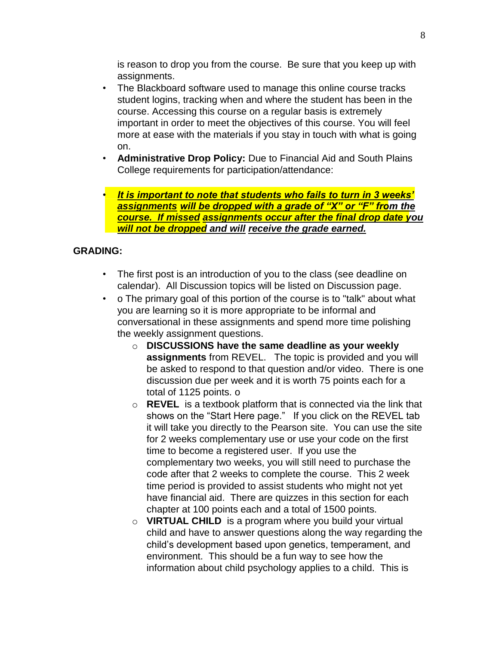is reason to drop you from the course. Be sure that you keep up with assignments.

- The Blackboard software used to manage this online course tracks student logins, tracking when and where the student has been in the course. Accessing this course on a regular basis is extremely important in order to meet the objectives of this course. You will feel more at ease with the materials if you stay in touch with what is going on.
- **Administrative Drop Policy:** Due to Financial Aid and South Plains College requirements for participation/attendance:
- *It is important to note that students who fails to turn in 3 weeks' assignments will be dropped with a grade of "X" or "F" from the course. If missed assignments occur after the final drop date you will not be dropped and will receive the grade earned.*

## **GRADING:**

- The first post is an introduction of you to the class (see deadline on calendar). All Discussion topics will be listed on Discussion page.
- o The primary goal of this portion of the course is to "talk" about what you are learning so it is more appropriate to be informal and conversational in these assignments and spend more time polishing the weekly assignment questions.
	- o **DISCUSSIONS have the same deadline as your weekly assignments** from REVEL. The topic is provided and you will be asked to respond to that question and/or video. There is one discussion due per week and it is worth 75 points each for a total of 1125 points. o
	- o **REVEL** is a textbook platform that is connected via the link that shows on the "Start Here page." If you click on the REVEL tab it will take you directly to the Pearson site. You can use the site for 2 weeks complementary use or use your code on the first time to become a registered user. If you use the complementary two weeks, you will still need to purchase the code after that 2 weeks to complete the course. This 2 week time period is provided to assist students who might not yet have financial aid. There are quizzes in this section for each chapter at 100 points each and a total of 1500 points.
	- o **VIRTUAL CHILD** is a program where you build your virtual child and have to answer questions along the way regarding the child's development based upon genetics, temperament, and environment. This should be a fun way to see how the information about child psychology applies to a child. This is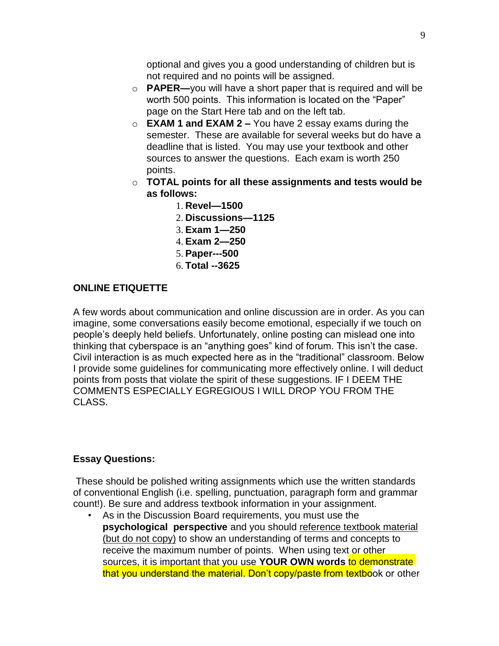optional and gives you a good understanding of children but is not required and no points will be assigned.

- o **PAPER—**you will have a short paper that is required and will be worth 500 points. This information is located on the "Paper" page on the Start Here tab and on the left tab.
- o **EXAM 1 and EXAM 2 –** You have 2 essay exams during the semester. These are available for several weeks but do have a deadline that is listed. You may use your textbook and other sources to answer the questions. Each exam is worth 250 points.
- o **TOTAL points for all these assignments and tests would be as follows:**
	- 1. **Revel—1500**
	- 2. **Discussions—1125**
	- 3. **Exam 1—250**
	- 4. **Exam 2—250**
	- 5. **Paper---500**
	- 6. **Total --3625**

## **ONLINE ETIQUETTE**

A few words about communication and online discussion are in order. As you can imagine, some conversations easily become emotional, especially if we touch on people's deeply held beliefs. Unfortunately, online posting can mislead one into thinking that cyberspace is an "anything goes" kind of forum. This isn't the case. Civil interaction is as much expected here as in the "traditional" classroom. Below I provide some guidelines for communicating more effectively online. I will deduct points from posts that violate the spirit of these suggestions. IF I DEEM THE COMMENTS ESPECIALLY EGREGIOUS I WILL DROP YOU FROM THE CLASS.

### **Essay Questions:**

These should be polished writing assignments which use the written standards of conventional English (i.e. spelling, punctuation, paragraph form and grammar count!). Be sure and address textbook information in your assignment.

• As in the Discussion Board requirements, you must use the **psychological perspective** and you should reference textbook material (but do not copy) to show an understanding of terms and concepts to receive the maximum number of points. When using text or other sources, it is important that you use **YOUR OWN words** to demonstrate that you understand the material. Don't copy/paste from textbook or other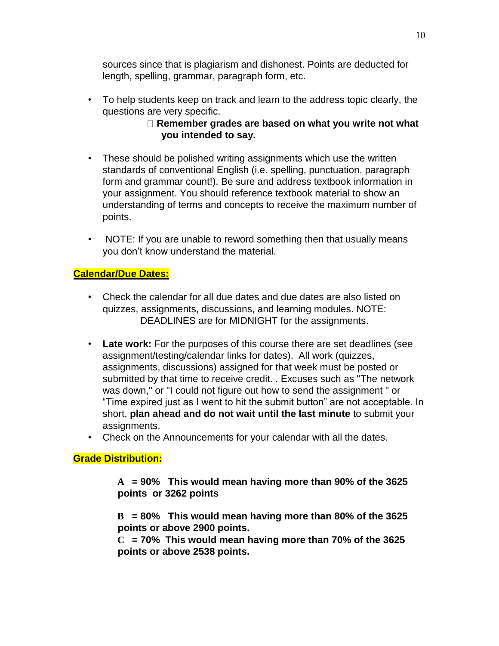sources since that is plagiarism and dishonest. Points are deducted for length, spelling, grammar, paragraph form, etc.

• To help students keep on track and learn to the address topic clearly, the questions are very specific.

## **Remember grades are based on what you write not what you intended to say.**

- These should be polished writing assignments which use the written standards of conventional English (i.e. spelling, punctuation, paragraph form and grammar count!). Be sure and address textbook information in your assignment. You should reference textbook material to show an understanding of terms and concepts to receive the maximum number of points.
- NOTE: If you are unable to reword something then that usually means you don't know understand the material.

# **Calendar/Due Dates:**

- Check the calendar for all due dates and due dates are also listed on quizzes, assignments, discussions, and learning modules. NOTE: DEADLINES are for MIDNIGHT for the assignments.
- **Late work:** For the purposes of this course there are set deadlines (see assignment/testing/calendar links for dates). All work (quizzes, assignments, discussions) assigned for that week must be posted or submitted by that time to receive credit. . Excuses such as "The network was down," or "I could not figure out how to send the assignment " or "Time expired just as I went to hit the submit button" are not acceptable. In short, **plan ahead and do not wait until the last minute** to submit your assignments.
- Check on the Announcements for your calendar with all the dates.

## **Grade Distribution:**

**A = 90% This would mean having more than 90% of the 3625 points or 3262 points** 

**B = 80% This would mean having more than 80% of the 3625 points or above 2900 points.** 

**C = 70% This would mean having more than 70% of the 3625 points or above 2538 points.**